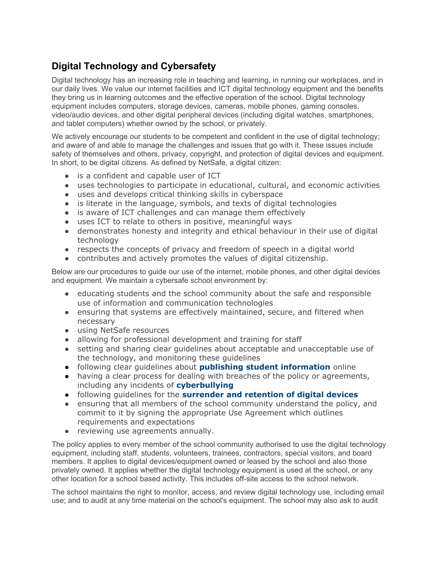## **Digital Technology and Cybersafety**

Digital technology has an increasing role in teaching and learning, in running our workplaces, and in our daily lives. We value our internet facilities and ICT digital technology equipment and the benefits they bring us in learning outcomes and the effective operation of the school. Digital technology equipment includes computers, storage devices, cameras, mobile phones, gaming consoles, video/audio devices, and other digital peripheral devices (including digital watches, smartphones, and tablet computers) whether owned by the school, or privately.

We actively encourage our students to be competent and confident in the use of digital technology; and aware of and able to manage the challenges and issues that go with it. These issues include safety of themselves and others, privacy, copyright, and protection of digital devices and equipment. In short, to be digital citizens. As defined by NetSafe, a digital citizen:

- is a confident and capable user of ICT
- uses technologies to participate in educational, cultural, and economic activities
- uses and develops critical thinking skills in cyberspace
- is literate in the language, symbols, and texts of digital technologies
- is aware of ICT challenges and can manage them effectively
- uses ICT to relate to others in positive, meaningful ways
- demonstrates honesty and integrity and ethical behaviour in their use of digital technology
- respects the concepts of privacy and freedom of speech in a digital world
- contributes and actively promotes the values of digital citizenship.

Below are our procedures to guide our use of the internet, mobile phones, and other digital devices and equipment. We maintain a cybersafe school environment by:

- educating students and the school community about the safe and responsible use of information and communication technologies
- ensuring that systems are effectively maintained, secure, and filtered when necessary
- using NetSafe resources
- allowing for professional development and training for staff
- setting and sharing clear guidelines about acceptable and unacceptable use of the technology, and monitoring these guidelines
- following clear guidelines about **[publishing student information](https://docs.google.com/document/d/1Lje94Sp3qUpaXvyJ4IkrLIx7Bjj6g6DdKl9FfoSKsbU/edit)** online
- having a clear process for dealing with breaches of the policy or agreements, including any incidents of **[cyberbullying](https://docs.google.com/document/d/1YHy6qqTpgIu1XBIf2JPkccDDbfZhanGGsmwINiil8Hc/edit)**
- following guidelines for the **[surrender and retention of digital devices](https://docs.google.com/document/d/1vTid1m6W-tSaBs57Cc0HouHM08Cx5wtodkkRo34Iu-4/edit#heading=h.mv1lfftln1ax)**
- ensuring that all members of the school community understand the policy, and commit to it by signing the appropriate Use Agreement which outlines requirements and expectations
- reviewing use agreements annually.

The policy applies to every member of the school community authorised to use the digital technology equipment, including staff, students, volunteers, trainees, contractors, special visitors, and board members. It applies to digital devices/equipment owned or leased by the school and also those privately owned. It applies whether the digital technology equipment is used at the school, or any other location for a school based activity. This includes off-site access to the school network.

The school maintains the right to monitor, access, and review digital technology use, including email use; and to audit at any time material on the school's equipment. The school may also ask to audit